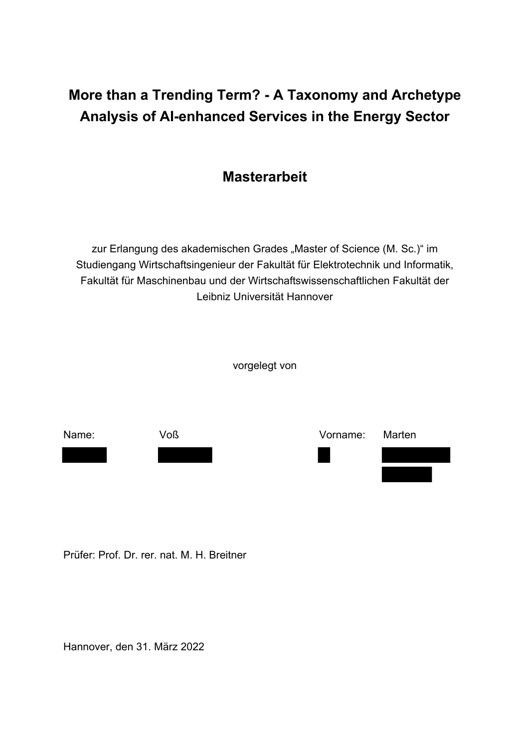## **More than a Trending Term? - A Taxonomy and Archetype Analysis of AI-enhanced Services in the Energy Sector**



zur Erlangung des akademischen Grades "Master of Science (M. Sc.)" im Studiengang Wirtschaftsingenieur der Fakultät für Elektrotechnik und Informatik, Fakultät für Maschinenbau und der Wirtschaftswissenschaftlichen Fakultät der Leibniz Universität Hannover

vorgelegt von



Prüfer: Prof. Dr. rer. nat. M. H. Breitner

Hannover, den 31. März 2022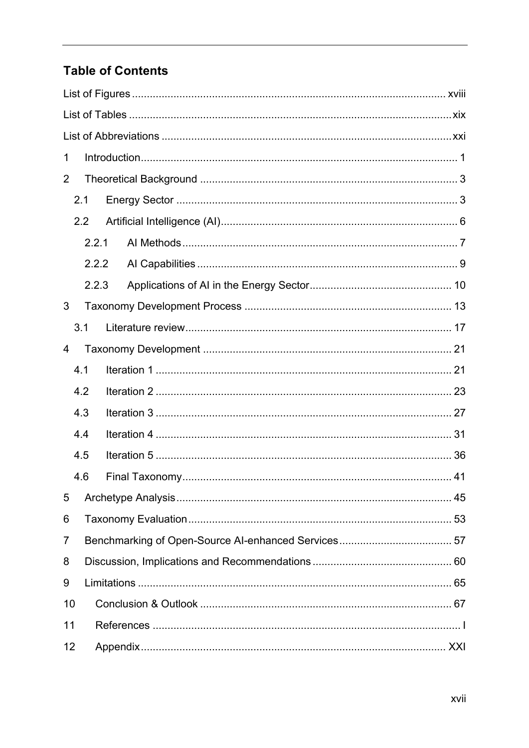## **Table of Contents**

| 1   |                  |  |  |  |
|-----|------------------|--|--|--|
| 2   |                  |  |  |  |
| 2.1 |                  |  |  |  |
|     | $2.2\phantom{0}$ |  |  |  |
|     | 2.2.1            |  |  |  |
|     | 2.2.2            |  |  |  |
|     | 2.2.3            |  |  |  |
| 3   |                  |  |  |  |
|     | 3.1              |  |  |  |
| 4   |                  |  |  |  |
|     | 4.1              |  |  |  |
|     | 4.2              |  |  |  |
|     | 4.3              |  |  |  |
|     | 4.4              |  |  |  |
|     | 4.5              |  |  |  |
|     | 4.6              |  |  |  |
| 5   |                  |  |  |  |
| 6   |                  |  |  |  |
| 7   |                  |  |  |  |
| 8   |                  |  |  |  |
| 9   |                  |  |  |  |
| 10  |                  |  |  |  |
| 11  |                  |  |  |  |
| 12  |                  |  |  |  |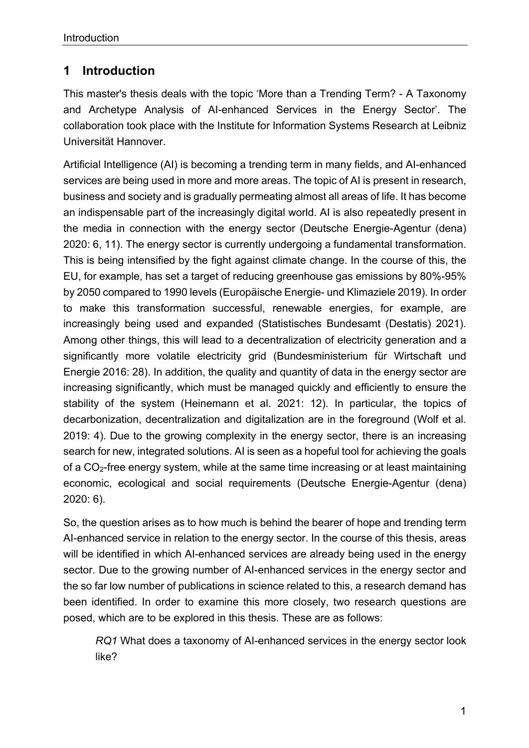## **1 Introduction**

This master's thesis deals with the topic 'More than a Trending Term? - A Taxonomy and Archetype Analysis of AI-enhanced Services in the Energy Sector'. The collaboration took place with the Institute for Information Systems Research at Leibniz Universität Hannover.

Artificial Intelligence (AI) is becoming a trending term in many fields, and AI-enhanced services are being used in more and more areas. The topic of AI is present in research, business and society and is gradually permeating almost all areas of life. It has become an indispensable part of the increasingly digital world. AI is also repeatedly present in the media in connection with the energy sector (Deutsche Energie-Agentur (dena) 2020: 6, 11). The energy sector is currently undergoing a fundamental transformation. This is being intensified by the fight against climate change. In the course of this, the EU, for example, has set a target of reducing greenhouse gas emissions by 80%-95% by 2050 compared to 1990 levels (Europäische Energie- und Klimaziele 2019). In order to make this transformation successful, renewable energies, for example, are increasingly being used and expanded (Statistisches Bundesamt (Destatis) 2021). Among other things, this will lead to a decentralization of electricity generation and a significantly more volatile electricity grid (Bundesministerium für Wirtschaft und Energie 2016: 28). In addition, the quality and quantity of data in the energy sector are increasing significantly, which must be managed quickly and efficiently to ensure the stability of the system (Heinemann et al. 2021: 12). In particular, the topics of decarbonization, decentralization and digitalization are in the foreground (Wolf et al. 2019: 4). Due to the growing complexity in the energy sector, there is an increasing search for new, integrated solutions. AI is seen as a hopeful tool for achieving the goals of a CO2-free energy system, while at the same time increasing or at least maintaining economic, ecological and social requirements (Deutsche Energie-Agentur (dena) 2020: 6).

So, the question arises as to how much is behind the bearer of hope and trending term AI-enhanced service in relation to the energy sector. In the course of this thesis, areas will be identified in which AI-enhanced services are already being used in the energy sector. Due to the growing number of AI-enhanced services in the energy sector and the so far low number of publications in science related to this, a research demand has been identified. In order to examine this more closely, two research questions are posed, which are to be explored in this thesis. These are as follows:

*RQ1* What does a taxonomy of AI-enhanced services in the energy sector look like?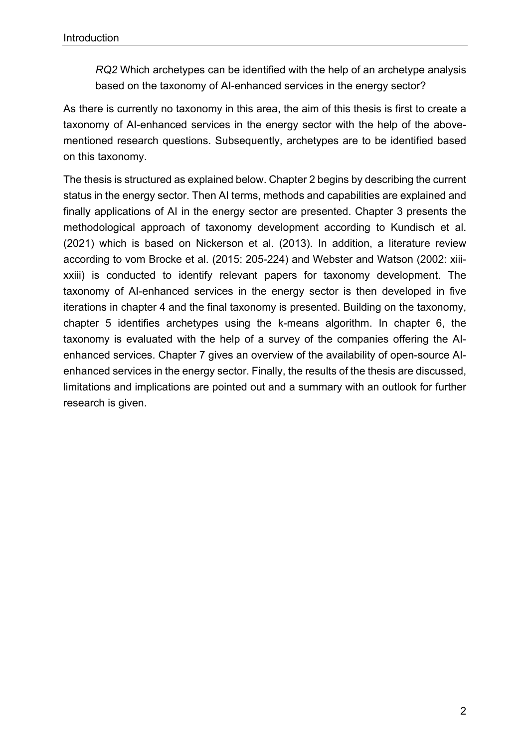*RQ2* Which archetypes can be identified with the help of an archetype analysis based on the taxonomy of AI-enhanced services in the energy sector?

As there is currently no taxonomy in this area, the aim of this thesis is first to create a taxonomy of AI-enhanced services in the energy sector with the help of the abovementioned research questions. Subsequently, archetypes are to be identified based on this taxonomy.

The thesis is structured as explained below. Chapter 2 begins by describing the current status in the energy sector. Then AI terms, methods and capabilities are explained and finally applications of AI in the energy sector are presented. Chapter 3 presents the methodological approach of taxonomy development according to Kundisch et al. (2021) which is based on Nickerson et al. (2013). In addition, a literature review according to vom Brocke et al. (2015: 205-224) and Webster and Watson (2002: xiiixxiii) is conducted to identify relevant papers for taxonomy development. The taxonomy of AI-enhanced services in the energy sector is then developed in five iterations in chapter 4 and the final taxonomy is presented. Building on the taxonomy, chapter 5 identifies archetypes using the k-means algorithm. In chapter 6, the taxonomy is evaluated with the help of a survey of the companies offering the AIenhanced services. Chapter 7 gives an overview of the availability of open-source AIenhanced services in the energy sector. Finally, the results of the thesis are discussed, limitations and implications are pointed out and a summary with an outlook for further research is given.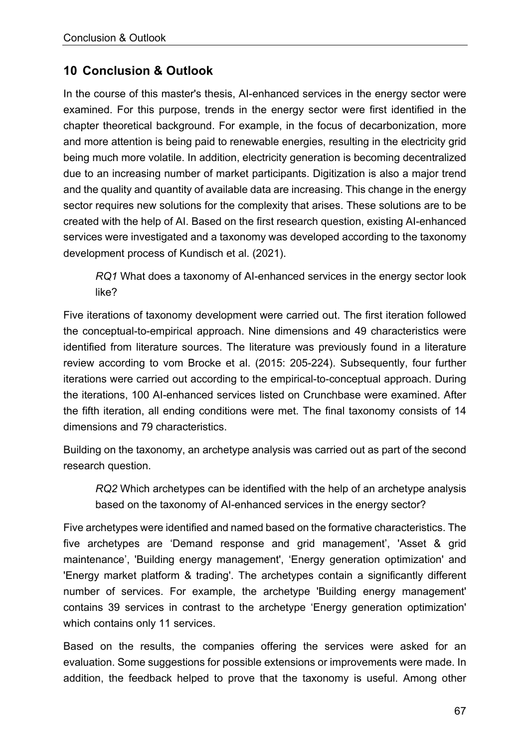## **10 Conclusion & Outlook**

In the course of this master's thesis, AI-enhanced services in the energy sector were examined. For this purpose, trends in the energy sector were first identified in the chapter theoretical background. For example, in the focus of decarbonization, more and more attention is being paid to renewable energies, resulting in the electricity grid being much more volatile. In addition, electricity generation is becoming decentralized due to an increasing number of market participants. Digitization is also a major trend and the quality and quantity of available data are increasing. This change in the energy sector requires new solutions for the complexity that arises. These solutions are to be created with the help of AI. Based on the first research question, existing AI-enhanced services were investigated and a taxonomy was developed according to the taxonomy development process of Kundisch et al. (2021).

*RQ1* What does a taxonomy of AI-enhanced services in the energy sector look like?

Five iterations of taxonomy development were carried out. The first iteration followed the conceptual-to-empirical approach. Nine dimensions and 49 characteristics were identified from literature sources. The literature was previously found in a literature review according to vom Brocke et al. (2015: 205-224). Subsequently, four further iterations were carried out according to the empirical-to-conceptual approach. During the iterations, 100 AI-enhanced services listed on Crunchbase were examined. After the fifth iteration, all ending conditions were met. The final taxonomy consists of 14 dimensions and 79 characteristics.

Building on the taxonomy, an archetype analysis was carried out as part of the second research question.

*RQ2* Which archetypes can be identified with the help of an archetype analysis based on the taxonomy of AI-enhanced services in the energy sector?

Five archetypes were identified and named based on the formative characteristics. The five archetypes are 'Demand response and grid management', 'Asset & grid maintenance', 'Building energy management', 'Energy generation optimization' and 'Energy market platform & trading'. The archetypes contain a significantly different number of services. For example, the archetype 'Building energy management' contains 39 services in contrast to the archetype 'Energy generation optimization' which contains only 11 services.

Based on the results, the companies offering the services were asked for an evaluation. Some suggestions for possible extensions or improvements were made. In addition, the feedback helped to prove that the taxonomy is useful. Among other